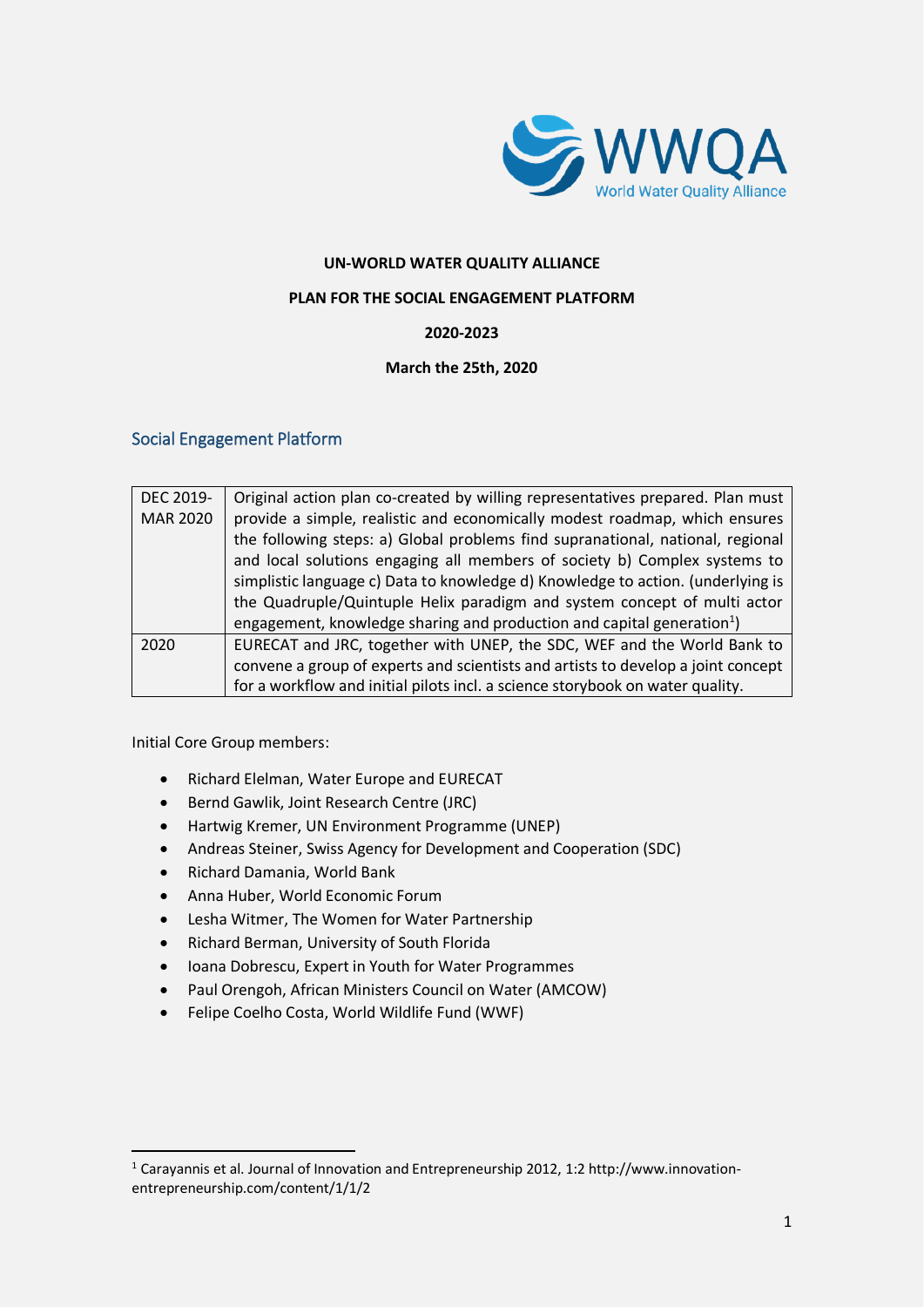

#### **UN-WORLD WATER QUALITY ALLIANCE**

#### **PLAN FOR THE SOCIAL ENGAGEMENT PLATFORM**

### **2020-2023**

#### **March the 25th, 2020**

### Social Engagement Platform

| DEC 2019-       | Original action plan co-created by willing representatives prepared. Plan must     |
|-----------------|------------------------------------------------------------------------------------|
| <b>MAR 2020</b> | provide a simple, realistic and economically modest roadmap, which ensures         |
|                 | the following steps: a) Global problems find supranational, national, regional     |
|                 | and local solutions engaging all members of society b) Complex systems to          |
|                 | simplistic language c) Data to knowledge d) Knowledge to action. (underlying is    |
|                 | the Quadruple/Quintuple Helix paradigm and system concept of multi actor           |
|                 | engagement, knowledge sharing and production and capital generation <sup>1</sup> ) |
| 2020            | EURECAT and JRC, together with UNEP, the SDC, WEF and the World Bank to            |
|                 | convene a group of experts and scientists and artists to develop a joint concept   |
|                 | for a workflow and initial pilots incl. a science storybook on water quality.      |

Initial Core Group members:

- Richard Elelman, Water Europe and EURECAT
- Bernd Gawlik, Joint Research Centre (JRC)
- Hartwig Kremer, UN Environment Programme (UNEP)
- Andreas Steiner, Swiss Agency for Development and Cooperation (SDC)
- Richard Damania, World Bank
- Anna Huber, World Economic Forum
- Lesha Witmer, The Women for Water Partnership
- Richard Berman, University of South Florida
- Ioana Dobrescu, Expert in Youth for Water Programmes
- Paul Orengoh, African Ministers Council on Water (AMCOW)
- Felipe Coelho Costa, World Wildlife Fund (WWF)

<sup>1</sup> Carayannis et al. Journal of Innovation and Entrepreneurship 2012, 1:2 http://www.innovationentrepreneurship.com/content/1/1/2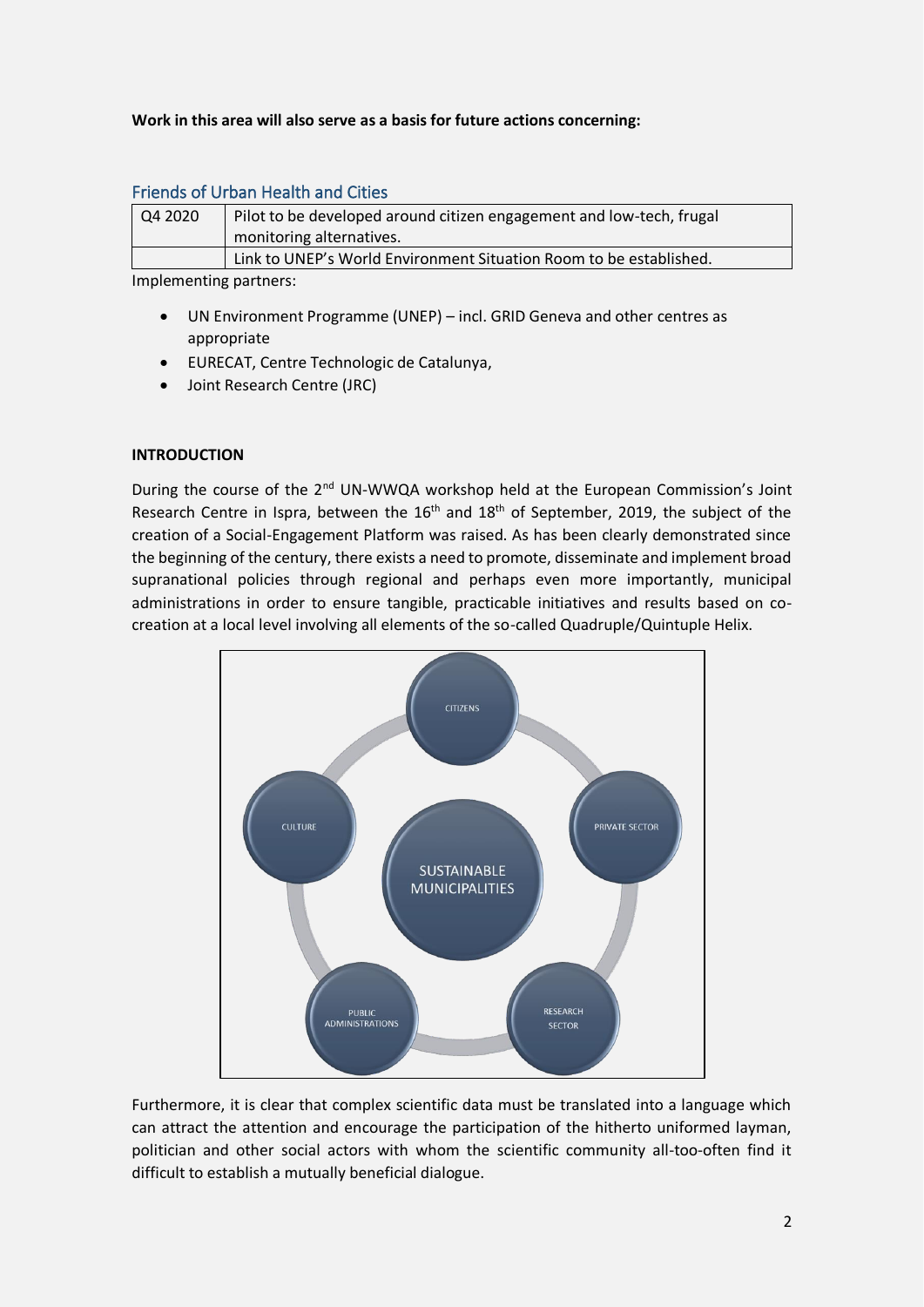#### **Work in this area will also serve as a basis for future actions concerning:**

## Friends of Urban Health and Cities

| $\sqrt{Q4}$ 2020 | Pilot to be developed around citizen engagement and low-tech, frugal |
|------------------|----------------------------------------------------------------------|
|                  | monitoring alternatives.                                             |
|                  | Link to UNEP's World Environment Situation Room to be established.   |
|                  |                                                                      |

Implementing partners:

- UN Environment Programme (UNEP) incl. GRID Geneva and other centres as appropriate
- EURECAT, Centre Technologic de Catalunya,
- Joint Research Centre (JRC)

#### **INTRODUCTION**

During the course of the 2<sup>nd</sup> UN-WWQA workshop held at the European Commission's Joint Research Centre in Ispra, between the  $16<sup>th</sup>$  and  $18<sup>th</sup>$  of September, 2019, the subject of the creation of a Social-Engagement Platform was raised. As has been clearly demonstrated since the beginning of the century, there exists a need to promote, disseminate and implement broad supranational policies through regional and perhaps even more importantly, municipal administrations in order to ensure tangible, practicable initiatives and results based on cocreation at a local level involving all elements of the so-called Quadruple/Quintuple Helix.



Furthermore, it is clear that complex scientific data must be translated into a language which can attract the attention and encourage the participation of the hitherto uniformed layman, politician and other social actors with whom the scientific community all-too-often find it difficult to establish a mutually beneficial dialogue.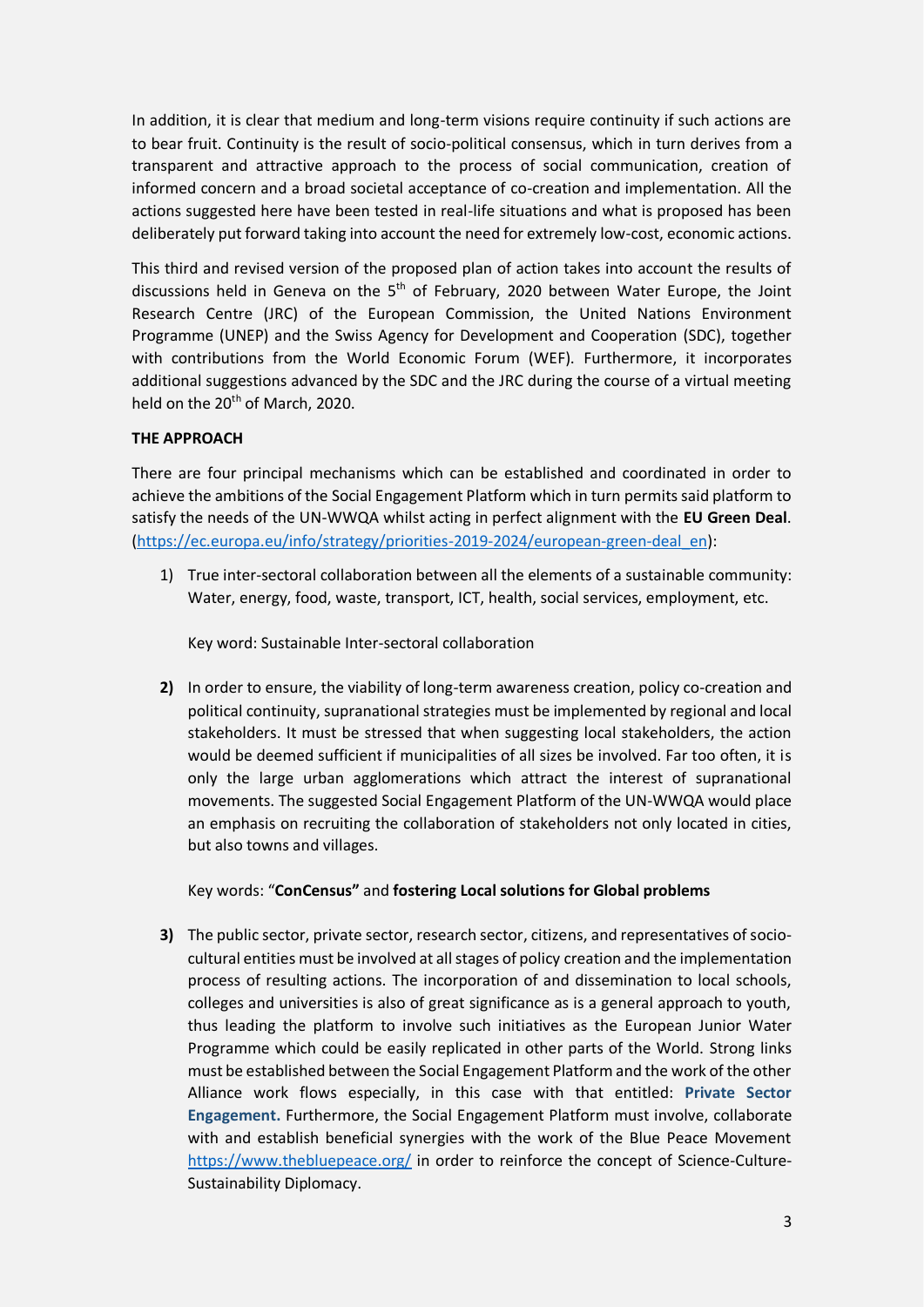In addition, it is clear that medium and long-term visions require continuity if such actions are to bear fruit. Continuity is the result of socio-political consensus, which in turn derives from a transparent and attractive approach to the process of social communication, creation of informed concern and a broad societal acceptance of co-creation and implementation. All the actions suggested here have been tested in real-life situations and what is proposed has been deliberately put forward taking into account the need for extremely low-cost, economic actions.

This third and revised version of the proposed plan of action takes into account the results of discussions held in Geneva on the  $5<sup>th</sup>$  of February, 2020 between Water Europe, the Joint Research Centre (JRC) of the European Commission, the United Nations Environment Programme (UNEP) and the Swiss Agency for Development and Cooperation (SDC), together with contributions from the World Economic Forum (WEF). Furthermore, it incorporates additional suggestions advanced by the SDC and the JRC during the course of a virtual meeting held on the 20<sup>th</sup> of March, 2020.

## **THE APPROACH**

There are four principal mechanisms which can be established and coordinated in order to achieve the ambitions of the Social Engagement Platform which in turn permits said platform to satisfy the needs of the UN-WWQA whilst acting in perfect alignment with the **EU Green Deal**. [\(https://ec.europa.eu/info/strategy/priorities-2019-2024/european-green-deal\\_en\)](https://ec.europa.eu/info/strategy/priorities-2019-2024/european-green-deal_en):

1) True inter-sectoral collaboration between all the elements of a sustainable community: Water, energy, food, waste, transport, ICT, health, social services, employment, etc.

Key word: Sustainable Inter-sectoral collaboration

**2)** In order to ensure, the viability of long-term awareness creation, policy co-creation and political continuity, supranational strategies must be implemented by regional and local stakeholders. It must be stressed that when suggesting local stakeholders, the action would be deemed sufficient if municipalities of all sizes be involved. Far too often, it is only the large urban agglomerations which attract the interest of supranational movements. The suggested Social Engagement Platform of the UN-WWQA would place an emphasis on recruiting the collaboration of stakeholders not only located in cities, but also towns and villages.

Key words: "**ConCensus"** and **fostering Local solutions for Global problems**

**3)** The public sector, private sector, research sector, citizens, and representatives of sociocultural entities must be involved at all stages of policy creation and the implementation process of resulting actions. The incorporation of and dissemination to local schools, colleges and universities is also of great significance as is a general approach to youth, thus leading the platform to involve such initiatives as the European Junior Water Programme which could be easily replicated in other parts of the World. Strong links must be established between the Social Engagement Platform and the work of the other Alliance work flows especially, in this case with that entitled: **Private Sector Engagement.** Furthermore, the Social Engagement Platform must involve, collaborate with and establish beneficial synergies with the work of the Blue Peace Movement <https://www.thebluepeace.org/> in order to reinforce the concept of Science-Culture-Sustainability Diplomacy.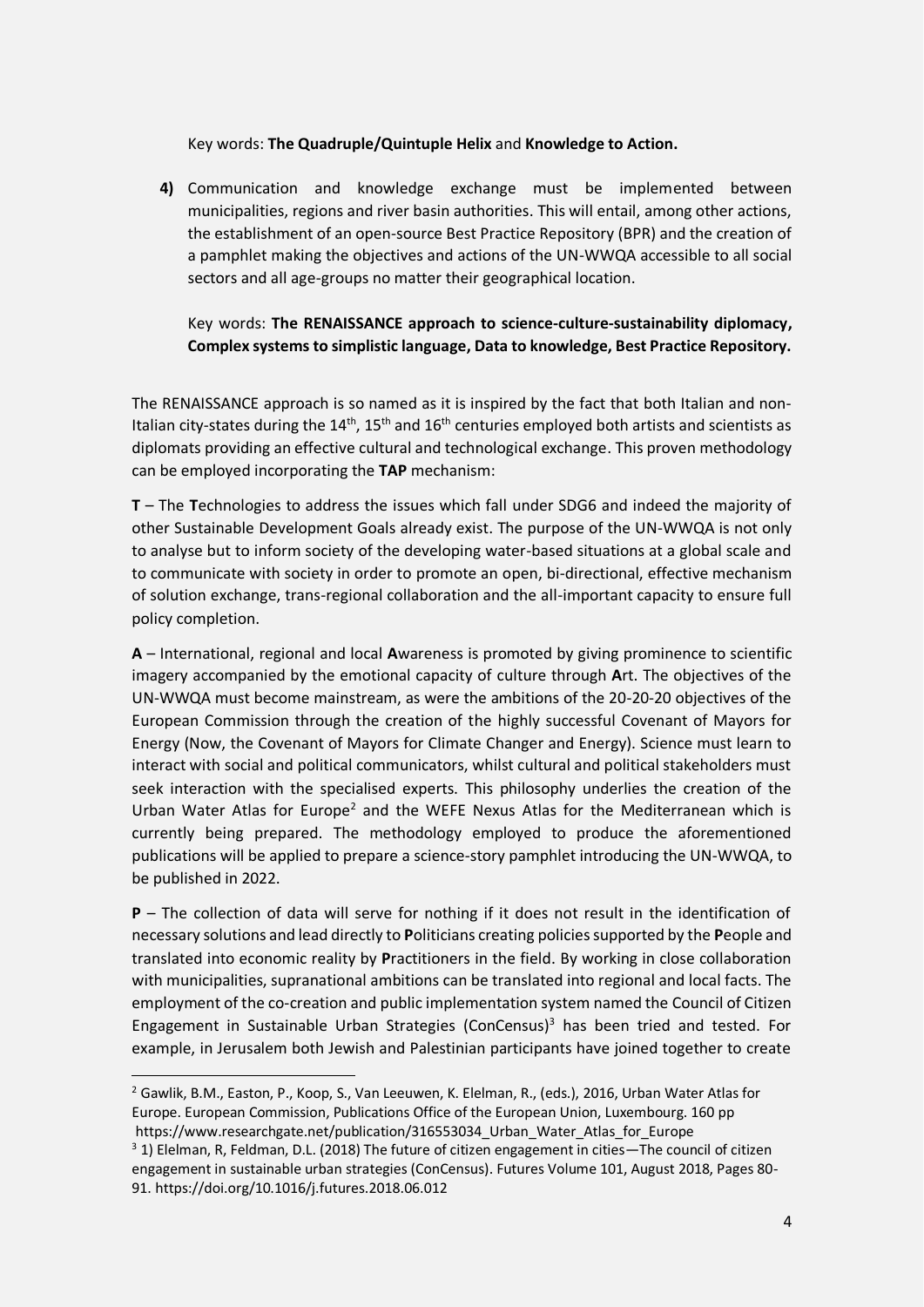#### Key words: **The Quadruple/Quintuple Helix** and **Knowledge to Action.**

**4)** Communication and knowledge exchange must be implemented between municipalities, regions and river basin authorities. This will entail, among other actions, the establishment of an open-source Best Practice Repository (BPR) and the creation of a pamphlet making the objectives and actions of the UN-WWQA accessible to all social sectors and all age-groups no matter their geographical location.

Key words: **The RENAISSANCE approach to science-culture-sustainability diplomacy, Complex systems to simplistic language, Data to knowledge, Best Practice Repository.**

The RENAISSANCE approach is so named as it is inspired by the fact that both Italian and non-Italian city-states during the  $14<sup>th</sup>$ ,  $15<sup>th</sup>$  and  $16<sup>th</sup>$  centuries employed both artists and scientists as diplomats providing an effective cultural and technological exchange. This proven methodology can be employed incorporating the **TAP** mechanism:

**T** – The **T**echnologies to address the issues which fall under SDG6 and indeed the majority of other Sustainable Development Goals already exist. The purpose of the UN-WWQA is not only to analyse but to inform society of the developing water-based situations at a global scale and to communicate with society in order to promote an open, bi-directional, effective mechanism of solution exchange, trans-regional collaboration and the all-important capacity to ensure full policy completion.

**A** – International, regional and local **A**wareness is promoted by giving prominence to scientific imagery accompanied by the emotional capacity of culture through **A**rt. The objectives of the UN-WWQA must become mainstream, as were the ambitions of the 20-20-20 objectives of the European Commission through the creation of the highly successful Covenant of Mayors for Energy (Now, the Covenant of Mayors for Climate Changer and Energy). Science must learn to interact with social and political communicators, whilst cultural and political stakeholders must seek interaction with the specialised experts. This philosophy underlies the creation of the Urban Water Atlas for Europe<sup>2</sup> and the WEFE Nexus Atlas for the Mediterranean which is currently being prepared. The methodology employed to produce the aforementioned publications will be applied to prepare a science-story pamphlet introducing the UN-WWQA, to be published in 2022.

**P** – The collection of data will serve for nothing if it does not result in the identification of necessary solutions and lead directly to **P**oliticians creating policies supported by the **P**eople and translated into economic reality by **P**ractitioners in the field. By working in close collaboration with municipalities, supranational ambitions can be translated into regional and local facts. The employment of the co-creation and public implementation system named the Council of Citizen Engagement in Sustainable Urban Strategies (ConCensus)<sup>3</sup> has been tried and tested. For example, in Jerusalem both Jewish and Palestinian participants have joined together to create

<sup>2</sup> Gawlik, B.M., Easton, P., Koop, S., Van Leeuwen, K. Elelman, R., (eds.), 2016, Urban Water Atlas for Europe. European Commission, Publications Office of the European Union, Luxembourg. 160 pp https://www.researchgate.net/publication/316553034\_Urban\_Water\_Atlas\_for\_Europe

<sup>3</sup> 1) Elelman, R, Feldman, D.L. (2018) The future of citizen engagement in cities—The council of citizen engagement in sustainable urban strategies (ConCensus). Futures Volume 101, August 2018, Pages 80- 91. https://doi.org/10.1016/j.futures.2018.06.012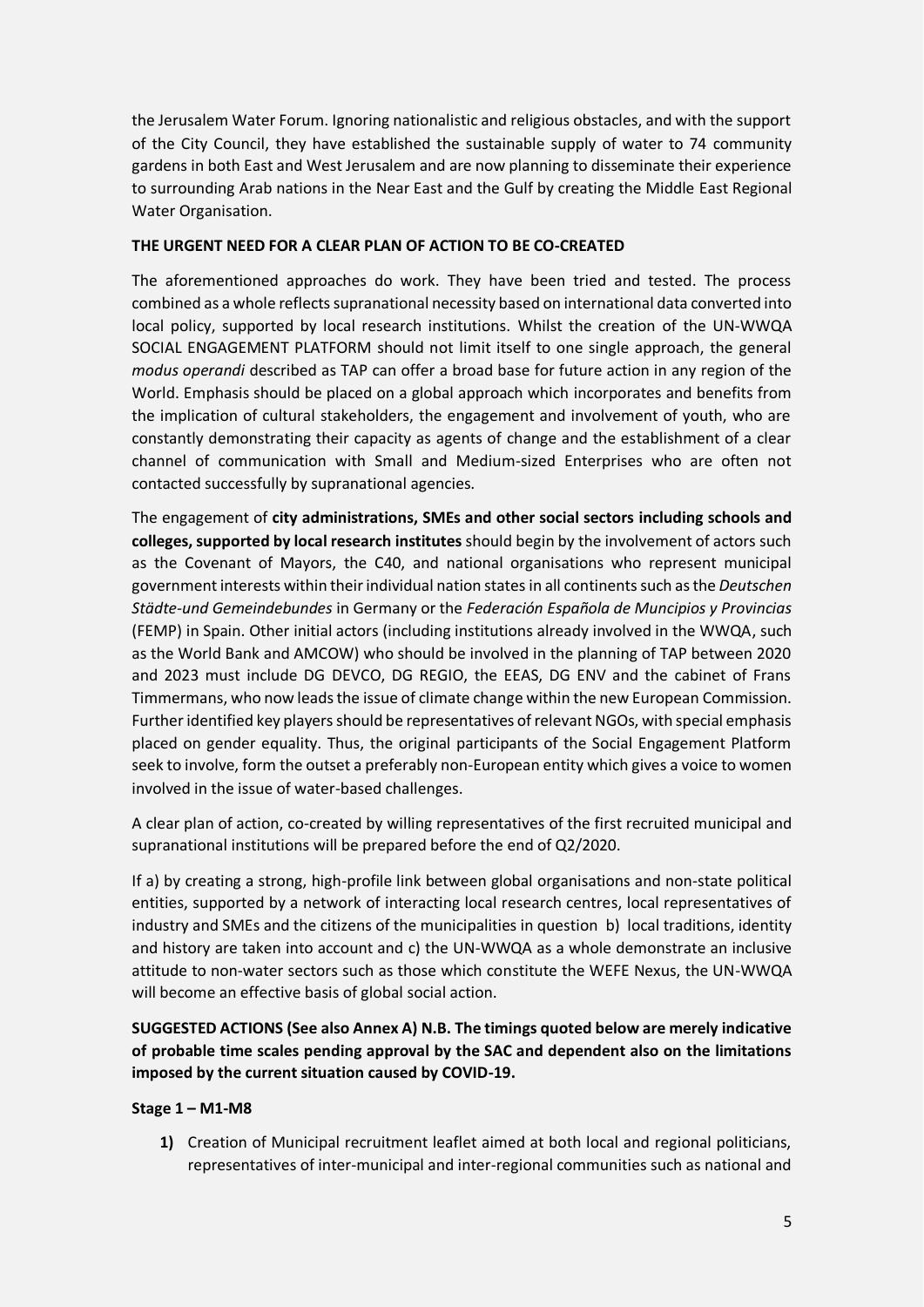the Jerusalem Water Forum. Ignoring nationalistic and religious obstacles, and with the support of the City Council, they have established the sustainable supply of water to 74 community gardens in both East and West Jerusalem and are now planning to disseminate their experience to surrounding Arab nations in the Near East and the Gulf by creating the Middle East Regional Water Organisation.

### **THE URGENT NEED FOR A CLEAR PLAN OF ACTION TO BE CO-CREATED**

The aforementioned approaches do work. They have been tried and tested. The process combined as a whole reflects supranational necessity based on international data converted into local policy, supported by local research institutions. Whilst the creation of the UN-WWQA SOCIAL ENGAGEMENT PLATFORM should not limit itself to one single approach, the general *modus operandi* described as TAP can offer a broad base for future action in any region of the World. Emphasis should be placed on a global approach which incorporates and benefits from the implication of cultural stakeholders, the engagement and involvement of youth, who are constantly demonstrating their capacity as agents of change and the establishment of a clear channel of communication with Small and Medium-sized Enterprises who are often not contacted successfully by supranational agencies.

The engagement of **city administrations, SMEs and other social sectors including schools and colleges, supported by local research institutes** should begin by the involvement of actors such as the Covenant of Mayors, the C40, and national organisations who represent municipal government interests within their individual nation states in all continents such as the *Deutschen Städte-und Gemeindebundes* in Germany or the *Federación Española de Muncipios y Provincias* (FEMP) in Spain. Other initial actors (including institutions already involved in the WWQA, such as the World Bank and AMCOW) who should be involved in the planning of TAP between 2020 and 2023 must include DG DEVCO, DG REGIO, the EEAS, DG ENV and the cabinet of Frans Timmermans, who now leads the issue of climate change within the new European Commission. Further identified key players should be representatives of relevant NGOs, with special emphasis placed on gender equality. Thus, the original participants of the Social Engagement Platform seek to involve, form the outset a preferably non-European entity which gives a voice to women involved in the issue of water-based challenges.

A clear plan of action, co-created by willing representatives of the first recruited municipal and supranational institutions will be prepared before the end of Q2/2020.

If a) by creating a strong, high-profile link between global organisations and non-state political entities, supported by a network of interacting local research centres, local representatives of industry and SMEs and the citizens of the municipalities in question b) local traditions, identity and history are taken into account and c) the UN-WWQA as a whole demonstrate an inclusive attitude to non-water sectors such as those which constitute the WEFE Nexus, the UN-WWQA will become an effective basis of global social action.

**SUGGESTED ACTIONS (See also Annex A) N.B. The timings quoted below are merely indicative of probable time scales pending approval by the SAC and dependent also on the limitations imposed by the current situation caused by COVID-19.**

#### **Stage 1 – M1-M8**

**1)** Creation of Municipal recruitment leaflet aimed at both local and regional politicians, representatives of inter-municipal and inter-regional communities such as national and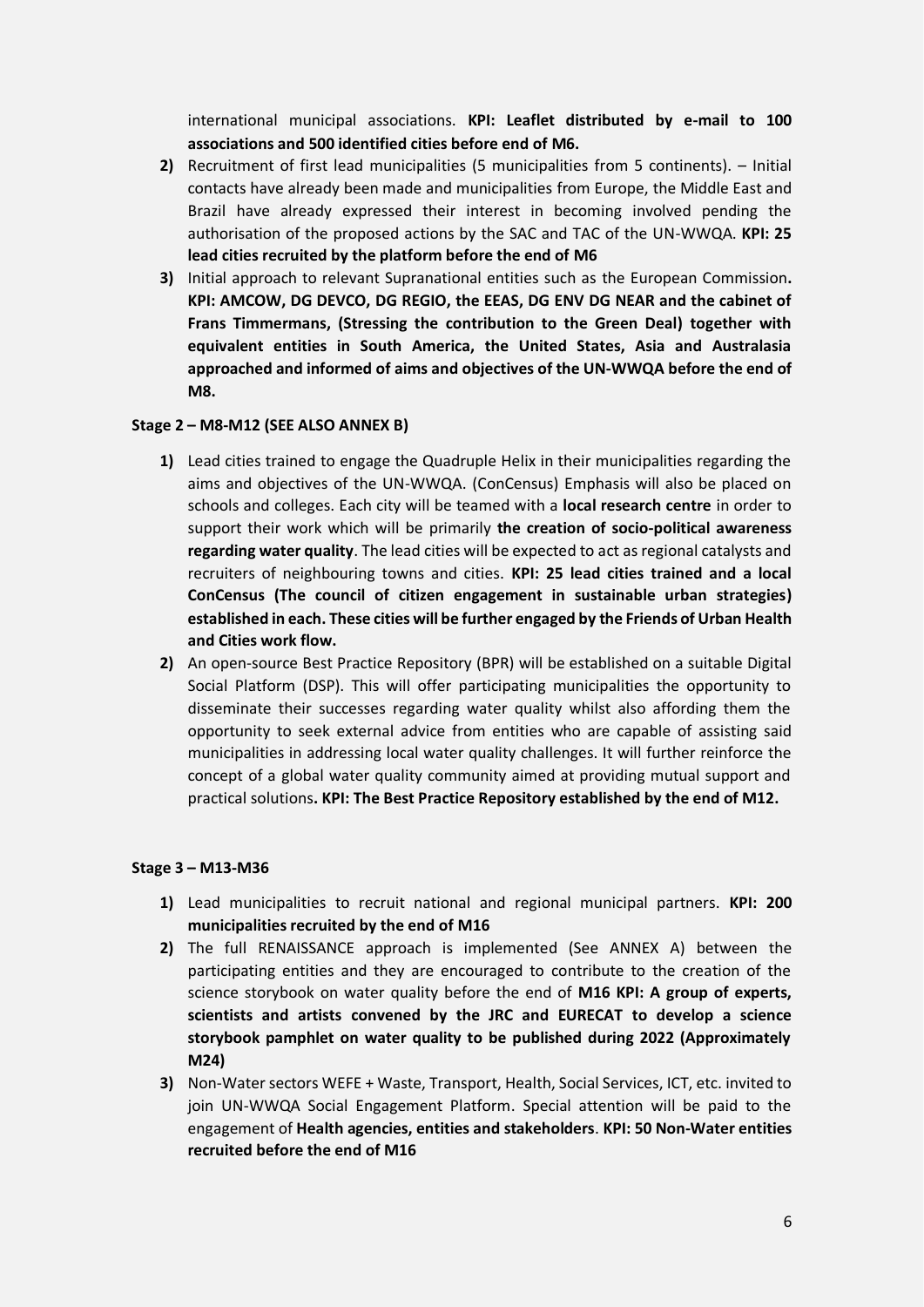international municipal associations. **KPI: Leaflet distributed by e-mail to 100 associations and 500 identified cities before end of M6.**

- **2)** Recruitment of first lead municipalities (5 municipalities from 5 continents). Initial contacts have already been made and municipalities from Europe, the Middle East and Brazil have already expressed their interest in becoming involved pending the authorisation of the proposed actions by the SAC and TAC of the UN-WWQA. **KPI: 25 lead cities recruited by the platform before the end of M6**
- **3)** Initial approach to relevant Supranational entities such as the European Commission**. KPI: AMCOW, DG DEVCO, DG REGIO, the EEAS, DG ENV DG NEAR and the cabinet of Frans Timmermans, (Stressing the contribution to the Green Deal) together with equivalent entities in South America, the United States, Asia and Australasia approached and informed of aims and objectives of the UN-WWQA before the end of M8.**

#### **Stage 2 – M8-M12 (SEE ALSO ANNEX B)**

- **1)** Lead cities trained to engage the Quadruple Helix in their municipalities regarding the aims and objectives of the UN-WWQA. (ConCensus) Emphasis will also be placed on schools and colleges. Each city will be teamed with a **local research centre** in order to support their work which will be primarily **the creation of socio-political awareness regarding water quality**. The lead cities will be expected to act as regional catalysts and recruiters of neighbouring towns and cities. **KPI: 25 lead cities trained and a local ConCensus (The council of citizen engagement in sustainable urban strategies) established in each. These cities will be further engaged by the Friends of Urban Health and Cities work flow.**
- **2)** An open-source Best Practice Repository (BPR) will be established on a suitable Digital Social Platform (DSP). This will offer participating municipalities the opportunity to disseminate their successes regarding water quality whilst also affording them the opportunity to seek external advice from entities who are capable of assisting said municipalities in addressing local water quality challenges. It will further reinforce the concept of a global water quality community aimed at providing mutual support and practical solutions**. KPI: The Best Practice Repository established by the end of M12.**

#### **Stage 3 – M13-M36**

- **1)** Lead municipalities to recruit national and regional municipal partners. **KPI: 200 municipalities recruited by the end of M16**
- **2)** The full RENAISSANCE approach is implemented (See ANNEX A) between the participating entities and they are encouraged to contribute to the creation of the science storybook on water quality before the end of **M16 KPI: A group of experts, scientists and artists convened by the JRC and EURECAT to develop a science storybook pamphlet on water quality to be published during 2022 (Approximately M24)**
- **3)** Non-Water sectors WEFE + Waste, Transport, Health, Social Services, ICT, etc. invited to join UN-WWQA Social Engagement Platform. Special attention will be paid to the engagement of **Health agencies, entities and stakeholders**. **KPI: 50 Non-Water entities recruited before the end of M16**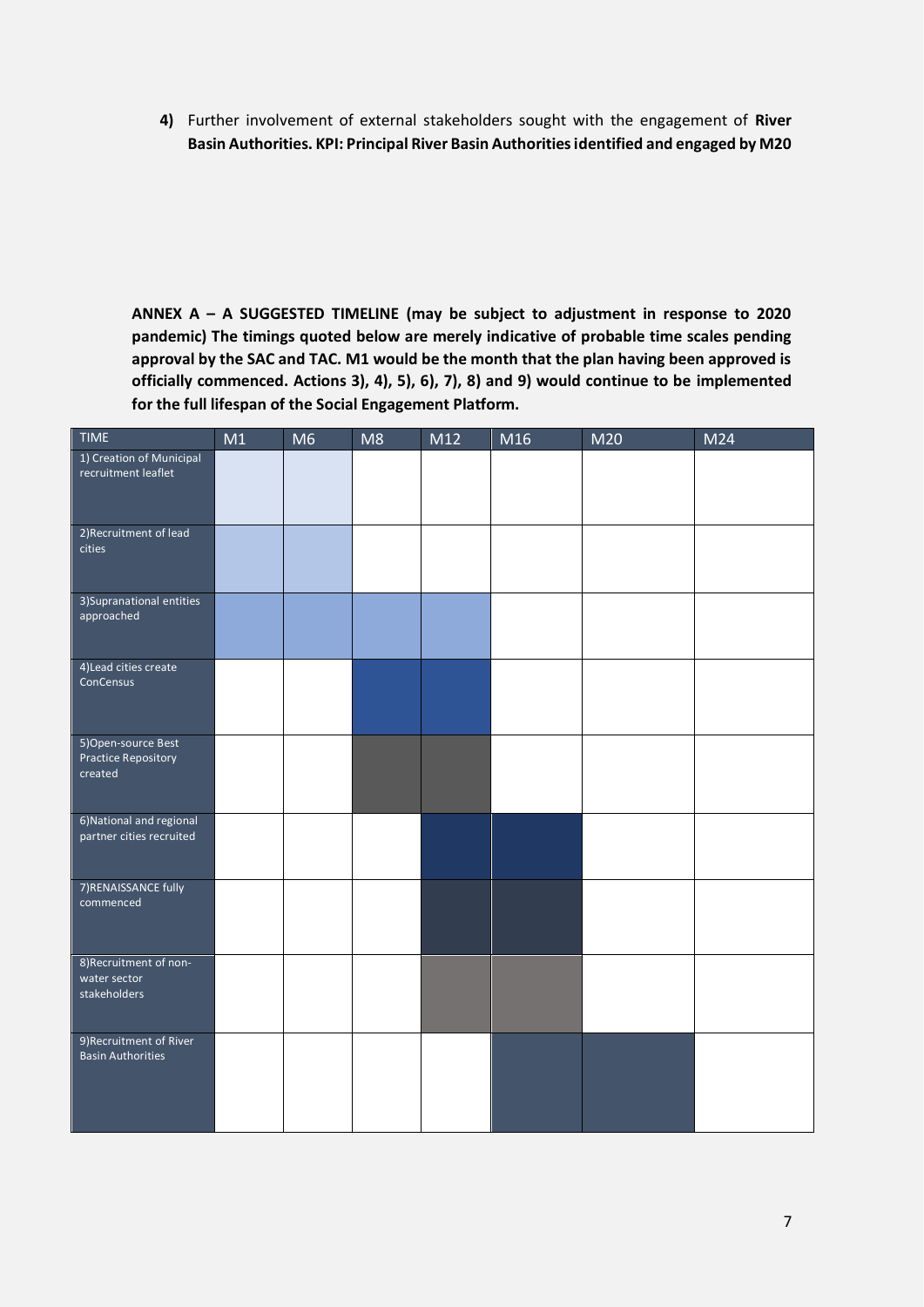**4)** Further involvement of external stakeholders sought with the engagement of **River Basin Authorities. KPI: Principal River Basin Authorities identified and engaged by M20**

**ANNEX A – A SUGGESTED TIMELINE (may be subject to adjustment in response to 2020 pandemic) The timings quoted below are merely indicative of probable time scales pending approval by the SAC and TAC. M1 would be the month that the plan having been approved is officially commenced. Actions 3), 4), 5), 6), 7), 8) and 9) would continue to be implemented for the full lifespan of the Social Engagement Platform.**

| TIME                                                         | M1 | M6 | M8 | M12 | M16 | M20 | M24 |
|--------------------------------------------------------------|----|----|----|-----|-----|-----|-----|
| 1) Creation of Municipal<br>recruitment leaflet              |    |    |    |     |     |     |     |
| 2) Recruitment of lead<br>cities                             |    |    |    |     |     |     |     |
| 3) Supranational entities<br>approached                      |    |    |    |     |     |     |     |
| 4) Lead cities create<br>ConCensus                           |    |    |    |     |     |     |     |
| 5) Open-source Best<br><b>Practice Repository</b><br>created |    |    |    |     |     |     |     |
| 6) National and regional<br>partner cities recruited         |    |    |    |     |     |     |     |
| 7) RENAISSANCE fully<br>commenced                            |    |    |    |     |     |     |     |
| 8) Recruitment of non-<br>water sector<br>stakeholders       |    |    |    |     |     |     |     |
| 9) Recruitment of River<br><b>Basin Authorities</b>          |    |    |    |     |     |     |     |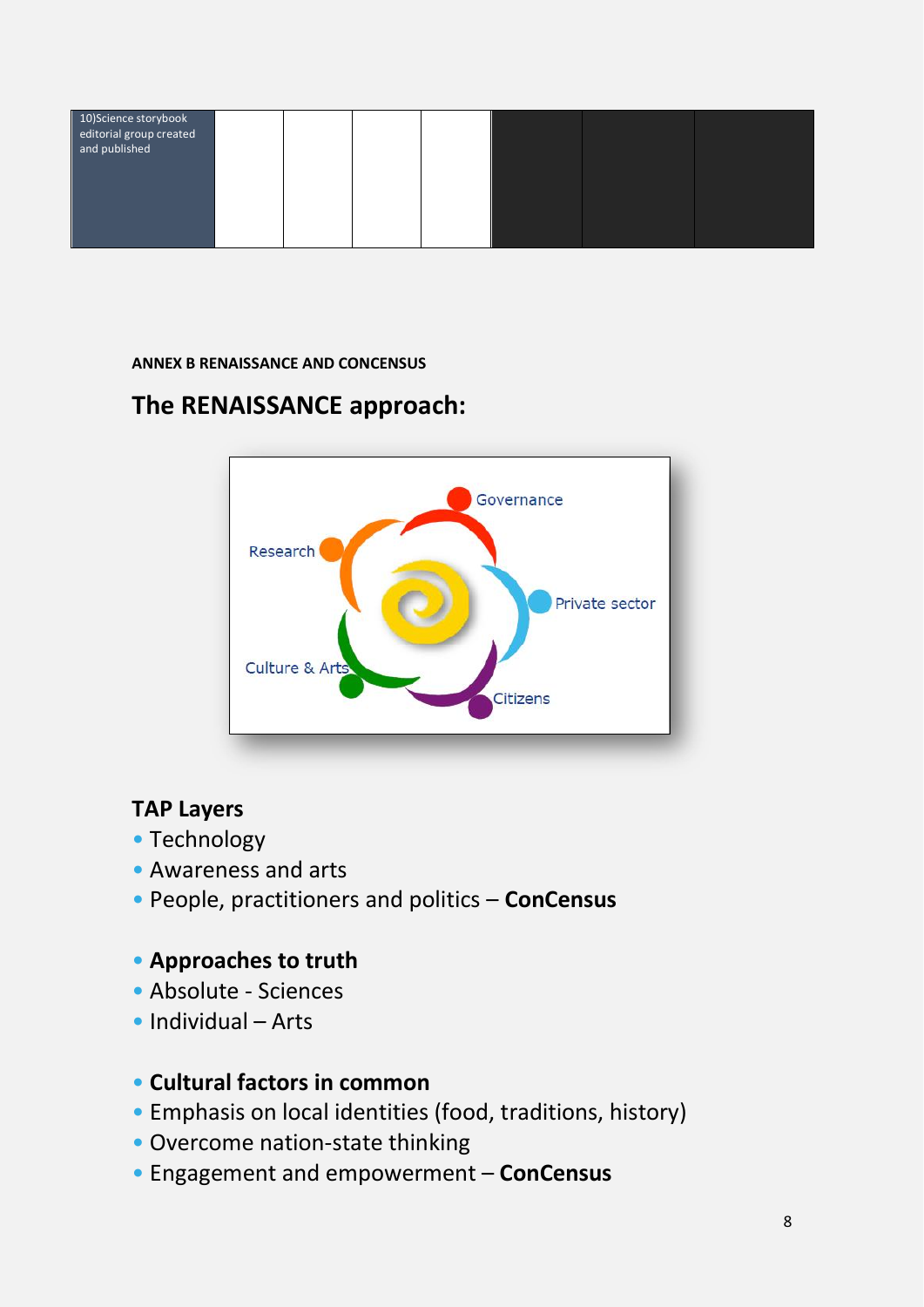| 10)Science storybook<br>editorial group created<br>and published |  |  |  |  |
|------------------------------------------------------------------|--|--|--|--|
|                                                                  |  |  |  |  |

## **ANNEX B RENAISSANCE AND CONCENSUS**

# **The RENAISSANCE approach:**



# **TAP Layers**

- Technology
- Awareness and arts
- People, practitioners and politics **ConCensus**

## • **Approaches to truth**

- Absolute Sciences
- Individual Arts

## • **Cultural factors in common**

- Emphasis on local identities (food, traditions, history)
- Overcome nation-state thinking
- Engagement and empowerment **ConCensus**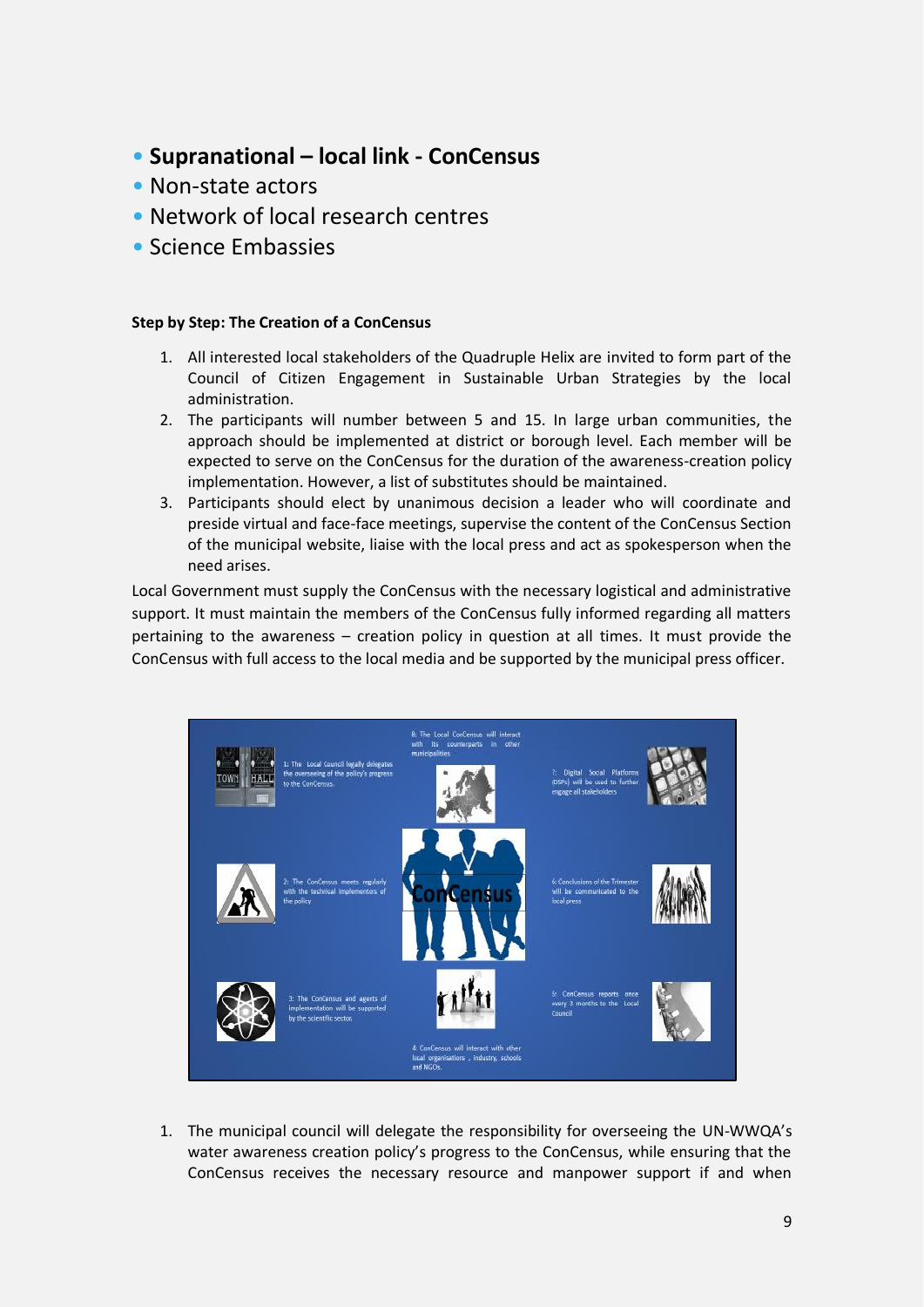- **Supranational – local link - ConCensus**
- Non-state actors
- Network of local research centres
- Science Embassies

### **Step by Step: The Creation of a ConCensus**

- 1. All interested local stakeholders of the Quadruple Helix are invited to form part of the Council of Citizen Engagement in Sustainable Urban Strategies by the local administration.
- 2. The participants will number between 5 and 15. In large urban communities, the approach should be implemented at district or borough level. Each member will be expected to serve on the ConCensus for the duration of the awareness-creation policy implementation. However, a list of substitutes should be maintained.
- 3. Participants should elect by unanimous decision a leader who will coordinate and preside virtual and face-face meetings, supervise the content of the ConCensus Section of the municipal website, liaise with the local press and act as spokesperson when the need arises.

Local Government must supply the ConCensus with the necessary logistical and administrative support. It must maintain the members of the ConCensus fully informed regarding all matters pertaining to the awareness – creation policy in question at all times. It must provide the ConCensus with full access to the local media and be supported by the municipal press officer.



1. The municipal council will delegate the responsibility for overseeing the UN-WWQA's water awareness creation policy's progress to the ConCensus, while ensuring that the ConCensus receives the necessary resource and manpower support if and when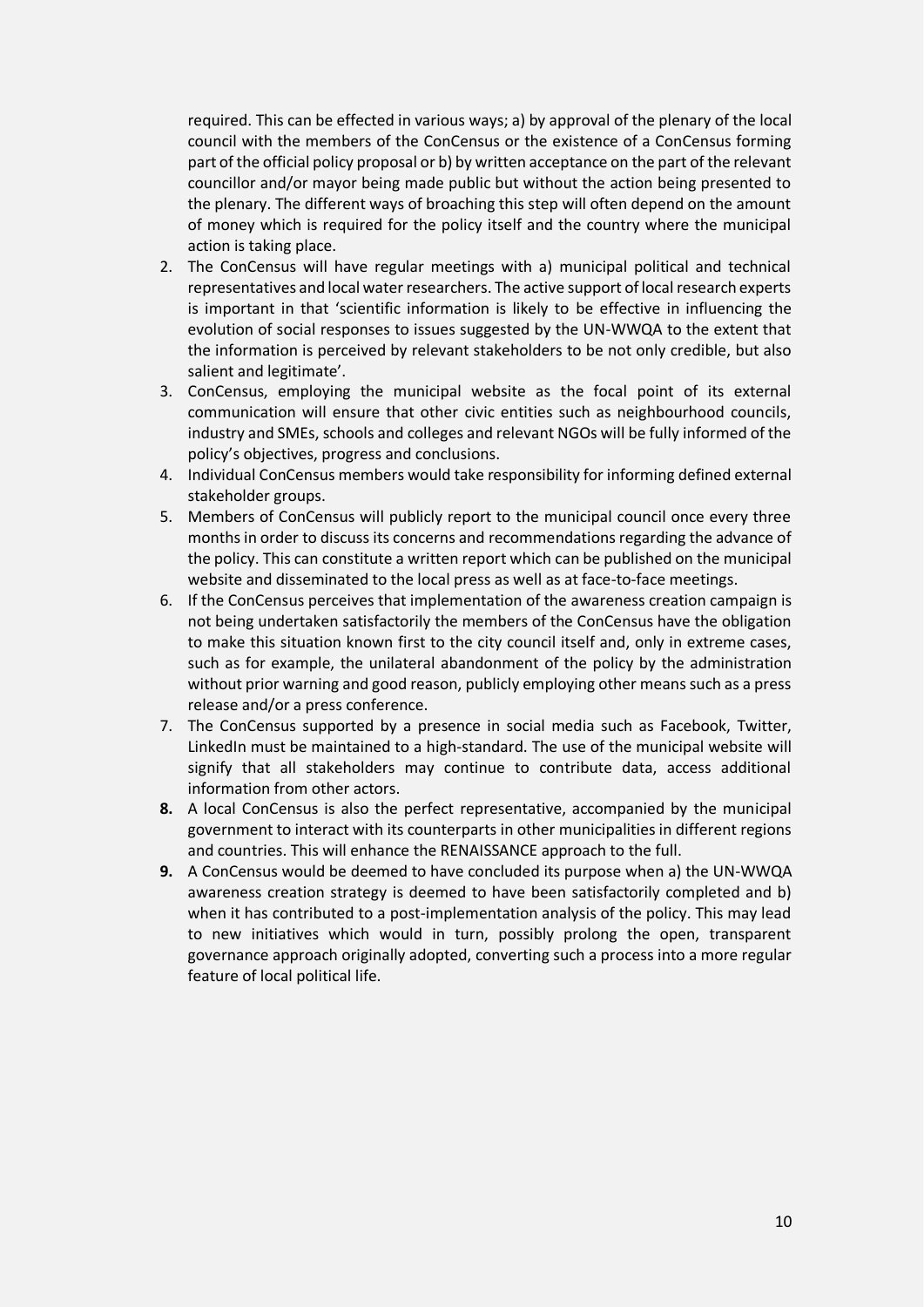required. This can be effected in various ways; a) by approval of the plenary of the local council with the members of the ConCensus or the existence of a ConCensus forming part of the official policy proposal or b) by written acceptance on the part of the relevant councillor and/or mayor being made public but without the action being presented to the plenary. The different ways of broaching this step will often depend on the amount of money which is required for the policy itself and the country where the municipal action is taking place.

- 2. The ConCensus will have regular meetings with a) municipal political and technical representatives and local water researchers. The active support of local research experts is important in that 'scientific information is likely to be effective in influencing the evolution of social responses to issues suggested by the UN-WWQA to the extent that the information is perceived by relevant stakeholders to be not only credible, but also salient and legitimate'.
- 3. ConCensus, employing the municipal website as the focal point of its external communication will ensure that other civic entities such as neighbourhood councils, industry and SMEs, schools and colleges and relevant NGOs will be fully informed of the policy's objectives, progress and conclusions.
- 4. Individual ConCensus members would take responsibility for informing defined external stakeholder groups.
- 5. Members of ConCensus will publicly report to the municipal council once every three months in order to discuss its concerns and recommendations regarding the advance of the policy. This can constitute a written report which can be published on the municipal website and disseminated to the local press as well as at face-to-face meetings.
- 6. If the ConCensus perceives that implementation of the awareness creation campaign is not being undertaken satisfactorily the members of the ConCensus have the obligation to make this situation known first to the city council itself and, only in extreme cases, such as for example, the unilateral abandonment of the policy by the administration without prior warning and good reason, publicly employing other means such as a press release and/or a press conference.
- 7. The ConCensus supported by a presence in social media such as Facebook, Twitter, LinkedIn must be maintained to a high-standard. The use of the municipal website will signify that all stakeholders may continue to contribute data, access additional information from other actors.
- **8.** A local ConCensus is also the perfect representative, accompanied by the municipal government to interact with its counterparts in other municipalities in different regions and countries. This will enhance the RENAISSANCE approach to the full.
- **9.** A ConCensus would be deemed to have concluded its purpose when a) the UN-WWQA awareness creation strategy is deemed to have been satisfactorily completed and b) when it has contributed to a post-implementation analysis of the policy. This may lead to new initiatives which would in turn, possibly prolong the open, transparent governance approach originally adopted, converting such a process into a more regular feature of local political life.